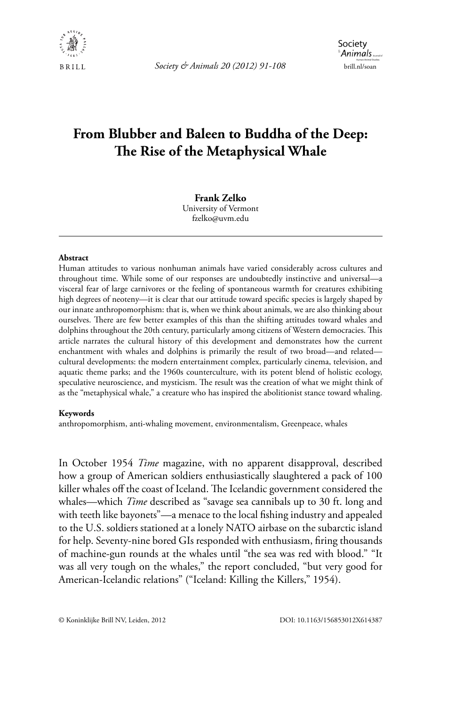

*Society & Animals 20 (2012) 91-108* brill.nl/soan

Society ®Animals ®

# **From Blubber and Baleen to Buddha of the Deep: The Rise of the Metaphysical Whale**

**Frank Zelko** University of Vermont fzelko@uvm.edu

#### **Abstract**

Human attitudes to various nonhuman animals have varied considerably across cultures and throughout time. While some of our responses are undoubtedly instinctive and universal—a visceral fear of large carnivores or the feeling of spontaneous warmth for creatures exhibiting high degrees of neoteny—it is clear that our attitude toward specific species is largely shaped by our innate anthropomorphism: that is, when we think about animals, we are also thinking about ourselves. There are few better examples of this than the shifting attitudes toward whales and dolphins throughout the 20th century, particularly among citizens of Western democracies. This article narrates the cultural history of this development and demonstrates how the current enchantment with whales and dolphins is primarily the result of two broad—and related cultural developments: the modern entertainment complex, particularly cinema, television, and aquatic theme parks; and the 1960s counterculture, with its potent blend of holistic ecology, speculative neuroscience, and mysticism. The result was the creation of what we might think of as the "metaphysical whale," a creature who has inspired the abolitionist stance toward whaling.

#### **Keywords**

anthropomorphism, anti-whaling movement, environmentalism, Greenpeace, whales

In October 1954 *Time* magazine, with no apparent disapproval, described how a group of American soldiers enthusiastically slaughtered a pack of 100 killer whales off the coast of Iceland. The Icelandic government considered the whales—which *Time* described as "savage sea cannibals up to 30 ft. long and with teeth like bayonets"—a menace to the local fishing industry and appealed to the U.S. soldiers stationed at a lonely NATO airbase on the subarctic island for help. Seventy-nine bored GIs responded with enthusiasm, firing thousands of machine-gun rounds at the whales until "the sea was red with blood." "It was all very tough on the whales," the report concluded, "but very good for American-Icelandic relations" ("Iceland: Killing the Killers," 1954).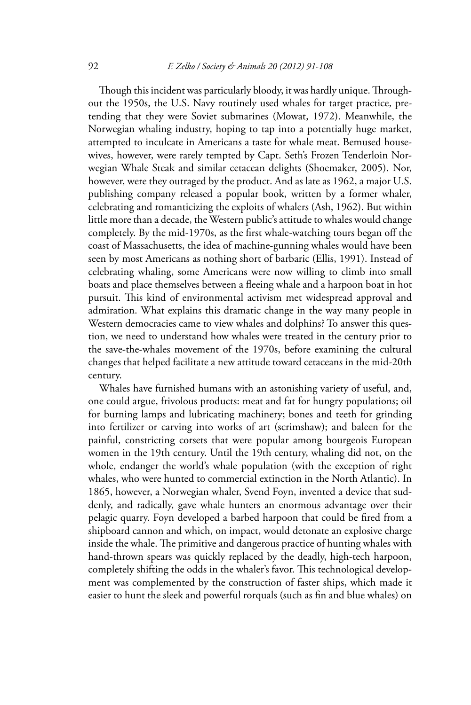Though this incident was particularly bloody, it was hardly unique. Throughout the 1950s, the U.S. Navy routinely used whales for target practice, pretending that they were Soviet submarines (Mowat, 1972). Meanwhile, the Norwegian whaling industry, hoping to tap into a potentially huge market, attempted to inculcate in Americans a taste for whale meat. Bemused housewives, however, were rarely tempted by Capt. Seth's Frozen Tenderloin Norwegian Whale Steak and similar cetacean delights (Shoemaker, 2005). Nor, however, were they outraged by the product. And as late as 1962, a major U.S. publishing company released a popular book, written by a former whaler, celebrating and romanticizing the exploits of whalers (Ash, 1962). But within little more than a decade, the Western public's attitude to whales would change completely. By the mid-1970s, as the first whale-watching tours began off the coast of Massachusetts, the idea of machine-gunning whales would have been seen by most Americans as nothing short of barbaric (Ellis, 1991). Instead of celebrating whaling, some Americans were now willing to climb into small boats and place themselves between a fleeing whale and a harpoon boat in hot pursuit. This kind of environmental activism met widespread approval and admiration. What explains this dramatic change in the way many people in Western democracies came to view whales and dolphins? To answer this question, we need to understand how whales were treated in the century prior to the save-the-whales movement of the 1970s, before examining the cultural changes that helped facilitate a new attitude toward cetaceans in the mid-20th century.

Whales have furnished humans with an astonishing variety of useful, and, one could argue, frivolous products: meat and fat for hungry populations; oil for burning lamps and lubricating machinery; bones and teeth for grinding into fertilizer or carving into works of art (scrimshaw); and baleen for the painful, constricting corsets that were popular among bourgeois European women in the 19th century. Until the 19th century, whaling did not, on the whole, endanger the world's whale population (with the exception of right whales, who were hunted to commercial extinction in the North Atlantic). In 1865, however, a Norwegian whaler, Svend Foyn, invented a device that suddenly, and radically, gave whale hunters an enormous advantage over their pelagic quarry. Foyn developed a barbed harpoon that could be fired from a shipboard cannon and which, on impact, would detonate an explosive charge inside the whale. The primitive and dangerous practice of hunting whales with hand-thrown spears was quickly replaced by the deadly, high-tech harpoon, completely shifting the odds in the whaler's favor. This technological development was complemented by the construction of faster ships, which made it easier to hunt the sleek and powerful rorquals (such as fin and blue whales) on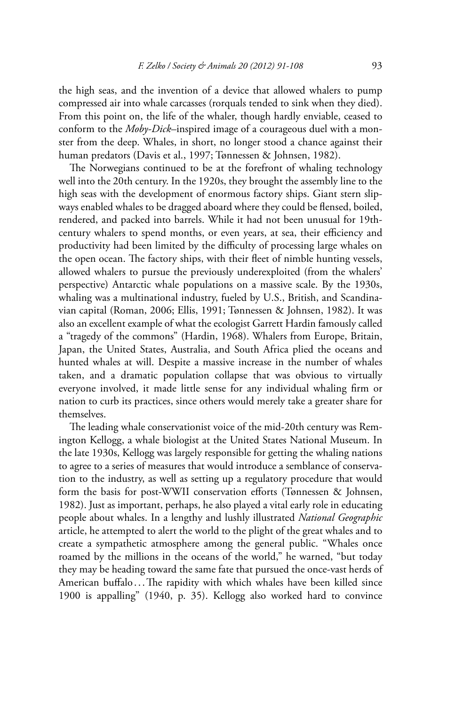the high seas, and the invention of a device that allowed whalers to pump compressed air into whale carcasses (rorquals tended to sink when they died). From this point on, the life of the whaler, though hardly enviable, ceased to conform to the *Moby-Dick*–inspired image of a courageous duel with a monster from the deep. Whales, in short, no longer stood a chance against their human predators (Davis et al., 1997; Tønnessen & Johnsen, 1982).

The Norwegians continued to be at the forefront of whaling technology well into the 20th century. In the 1920s, they brought the assembly line to the high seas with the development of enormous factory ships. Giant stern slipways enabled whales to be dragged aboard where they could be flensed, boiled, rendered, and packed into barrels. While it had not been unusual for 19thcentury whalers to spend months, or even years, at sea, their efficiency and productivity had been limited by the difficulty of processing large whales on the open ocean. The factory ships, with their fleet of nimble hunting vessels, allowed whalers to pursue the previously underexploited (from the whalers' perspective) Antarctic whale populations on a massive scale. By the 1930s, whaling was a multinational industry, fueled by U.S., British, and Scandinavian capital (Roman, 2006; Ellis, 1991; Tønnessen & Johnsen, 1982). It was also an excellent example of what the ecologist Garrett Hardin famously called a "tragedy of the commons" (Hardin, 1968). Whalers from Europe, Britain, Japan, the United States, Australia, and South Africa plied the oceans and hunted whales at will. Despite a massive increase in the number of whales taken, and a dramatic population collapse that was obvious to virtually everyone involved, it made little sense for any individual whaling firm or nation to curb its practices, since others would merely take a greater share for themselves.

The leading whale conservationist voice of the mid-20th century was Remington Kellogg, a whale biologist at the United States National Museum. In the late 1930s, Kellogg was largely responsible for getting the whaling nations to agree to a series of measures that would introduce a semblance of conservation to the industry, as well as setting up a regulatory procedure that would form the basis for post-WWII conservation efforts (Tønnessen & Johnsen, 1982). Just as important, perhaps, he also played a vital early role in educating people about whales. In a lengthy and lushly illustrated *National Geographic* article, he attempted to alert the world to the plight of the great whales and to create a sympathetic atmosphere among the general public. "Whales once roamed by the millions in the oceans of the world," he warned, "but today they may be heading toward the same fate that pursued the once-vast herds of American buffalo...The rapidity with which whales have been killed since 1900 is appalling" (1940, p. 35). Kellogg also worked hard to convince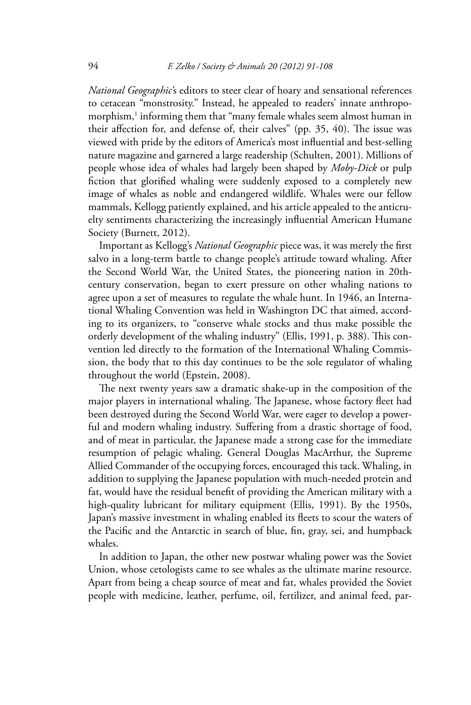*National Geographic'*s editors to steer clear of hoary and sensational references to cetacean "monstrosity." Instead, he appealed to readers' innate anthropomorphism,<sup>1</sup> informing them that "many female whales seem almost human in their affection for, and defense of, their calves" (pp. 35, 40). The issue was viewed with pride by the editors of America's most influential and best-selling nature magazine and garnered a large readership (Schulten, 2001). Millions of people whose idea of whales had largely been shaped by *Moby-Dick* or pulp fiction that glorified whaling were suddenly exposed to a completely new image of whales as noble and endangered wildlife. Whales were our fellow mammals, Kellogg patiently explained, and his article appealed to the anticruelty sentiments characterizing the increasingly influential American Humane Society (Burnett, 2012).

Important as Kellogg's *National Geographic* piece was, it was merely the first salvo in a long-term battle to change people's attitude toward whaling. After the Second World War, the United States, the pioneering nation in 20thcentury conservation, began to exert pressure on other whaling nations to agree upon a set of measures to regulate the whale hunt. In 1946, an International Whaling Convention was held in Washington DC that aimed, according to its organizers, to "conserve whale stocks and thus make possible the orderly development of the whaling industry" (Ellis, 1991, p. 388). This convention led directly to the formation of the International Whaling Commission, the body that to this day continues to be the sole regulator of whaling throughout the world (Epstein, 2008).

The next twenty years saw a dramatic shake-up in the composition of the major players in international whaling. The Japanese, whose factory fleet had been destroyed during the Second World War, were eager to develop a powerful and modern whaling industry. Suffering from a drastic shortage of food, and of meat in particular, the Japanese made a strong case for the immediate resumption of pelagic whaling. General Douglas MacArthur, the Supreme Allied Commander of the occupying forces, encouraged this tack. Whaling, in addition to supplying the Japanese population with much-needed protein and fat, would have the residual benefit of providing the American military with a high-quality lubricant for military equipment (Ellis, 1991). By the 1950s, Japan's massive investment in whaling enabled its fleets to scour the waters of the Pacific and the Antarctic in search of blue, fin, gray, sei, and humpback whales.

In addition to Japan, the other new postwar whaling power was the Soviet Union, whose cetologists came to see whales as the ultimate marine resource. Apart from being a cheap source of meat and fat, whales provided the Soviet people with medicine, leather, perfume, oil, fertilizer, and animal feed, par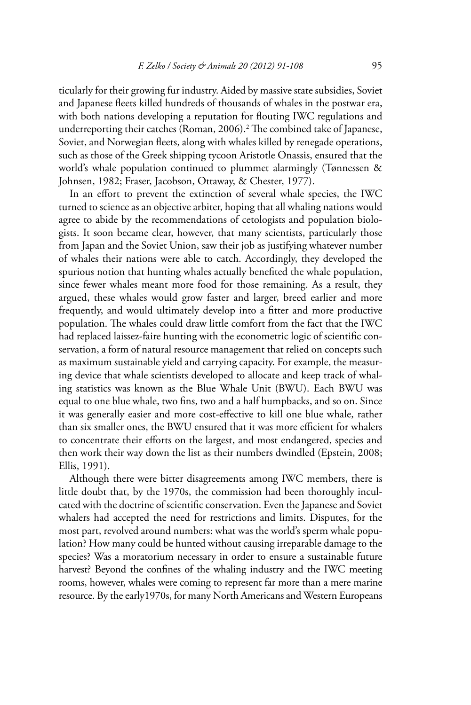ticularly for their growing fur industry. Aided by massive state subsidies, Soviet and Japanese fleets killed hundreds of thousands of whales in the postwar era, with both nations developing a reputation for flouting IWC regulations and underreporting their catches (Roman, 2006).2 The combined take of Japanese, Soviet, and Norwegian fleets, along with whales killed by renegade operations, such as those of the Greek shipping tycoon Aristotle Onassis, ensured that the world's whale population continued to plummet alarmingly (Tønnessen & Johnsen, 1982; Fraser, Jacobson, Ottaway, & Chester, 1977).

In an effort to prevent the extinction of several whale species, the IWC turned to science as an objective arbiter, hoping that all whaling nations would agree to abide by the recommendations of cetologists and population biologists. It soon became clear, however, that many scientists, particularly those from Japan and the Soviet Union, saw their job as justifying whatever number of whales their nations were able to catch. Accordingly, they developed the spurious notion that hunting whales actually benefited the whale population, since fewer whales meant more food for those remaining. As a result, they argued, these whales would grow faster and larger, breed earlier and more frequently, and would ultimately develop into a fitter and more productive population. The whales could draw little comfort from the fact that the IWC had replaced laissez-faire hunting with the econometric logic of scientific conservation, a form of natural resource management that relied on concepts such as maximum sustainable yield and carrying capacity. For example, the measuring device that whale scientists developed to allocate and keep track of whaling statistics was known as the Blue Whale Unit (BWU). Each BWU was equal to one blue whale, two fins, two and a half humpbacks, and so on. Since it was generally easier and more cost-effective to kill one blue whale, rather than six smaller ones, the BWU ensured that it was more efficient for whalers to concentrate their efforts on the largest, and most endangered, species and then work their way down the list as their numbers dwindled (Epstein, 2008; Ellis, 1991).

Although there were bitter disagreements among IWC members, there is little doubt that, by the 1970s, the commission had been thoroughly inculcated with the doctrine of scientific conservation. Even the Japanese and Soviet whalers had accepted the need for restrictions and limits. Disputes, for the most part, revolved around numbers: what was the world's sperm whale population? How many could be hunted without causing irreparable damage to the species? Was a moratorium necessary in order to ensure a sustainable future harvest? Beyond the confines of the whaling industry and the IWC meeting rooms, however, whales were coming to represent far more than a mere marine resource. By the early1970s, for many North Americans and Western Europeans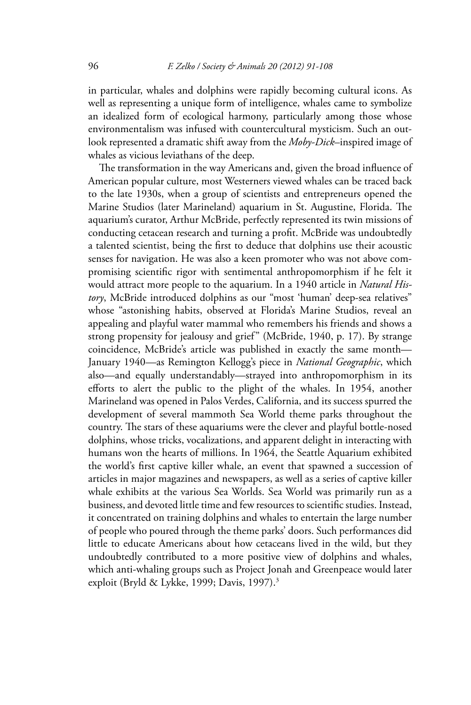in particular, whales and dolphins were rapidly becoming cultural icons. As well as representing a unique form of intelligence, whales came to symbolize an idealized form of ecological harmony, particularly among those whose environmentalism was infused with countercultural mysticism. Such an outlook represented a dramatic shift away from the *Moby-Dick*–inspired image of whales as vicious leviathans of the deep.

The transformation in the way Americans and, given the broad influence of American popular culture, most Westerners viewed whales can be traced back to the late 1930s, when a group of scientists and entrepreneurs opened the Marine Studios (later Marineland) aquarium in St. Augustine, Florida. The aquarium's curator, Arthur McBride, perfectly represented its twin missions of conducting cetacean research and turning a profit. McBride was undoubtedly a talented scientist, being the first to deduce that dolphins use their acoustic senses for navigation. He was also a keen promoter who was not above compromising scientific rigor with sentimental anthropomorphism if he felt it would attract more people to the aquarium. In a 1940 article in *Natural History*, McBride introduced dolphins as our "most 'human' deep-sea relatives" whose "astonishing habits, observed at Florida's Marine Studios, reveal an appealing and playful water mammal who remembers his friends and shows a strong propensity for jealousy and grief" (McBride, 1940, p. 17). By strange coincidence, McBride's article was published in exactly the same month— January 1940—as Remington Kellogg's piece in *National Geographic*, which also—and equally understandably—strayed into anthropomorphism in its efforts to alert the public to the plight of the whales. In 1954, another Marineland was opened in Palos Verdes, California, and its success spurred the development of several mammoth Sea World theme parks throughout the country. The stars of these aquariums were the clever and playful bottle-nosed dolphins, whose tricks, vocalizations, and apparent delight in interacting with humans won the hearts of millions. In 1964, the Seattle Aquarium exhibited the world's first captive killer whale, an event that spawned a succession of articles in major magazines and newspapers, as well as a series of captive killer whale exhibits at the various Sea Worlds. Sea World was primarily run as a business, and devoted little time and few resources to scientific studies. Instead, it concentrated on training dolphins and whales to entertain the large number of people who poured through the theme parks' doors. Such performances did little to educate Americans about how cetaceans lived in the wild, but they undoubtedly contributed to a more positive view of dolphins and whales, which anti-whaling groups such as Project Jonah and Greenpeace would later exploit (Bryld & Lykke, 1999; Davis, 1997).<sup>3</sup>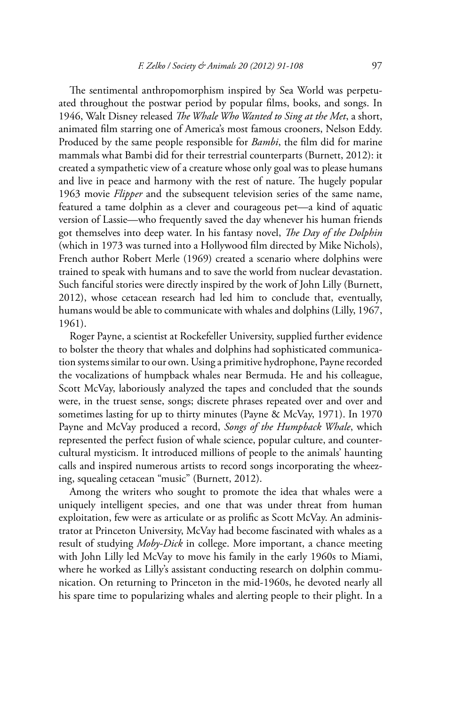The sentimental anthropomorphism inspired by Sea World was perpetuated throughout the postwar period by popular films, books, and songs. In 1946, Walt Disney released *The Whale Who Wanted to Sing at the Met*, a short, animated film starring one of America's most famous crooners, Nelson Eddy. Produced by the same people responsible for *Bambi*, the film did for marine mammals what Bambi did for their terrestrial counterparts (Burnett, 2012): it created a sympathetic view of a creature whose only goal was to please humans and live in peace and harmony with the rest of nature. The hugely popular 1963 movie *Flipper* and the subsequent television series of the same name, featured a tame dolphin as a clever and courageous pet—a kind of aquatic version of Lassie—who frequently saved the day whenever his human friends got themselves into deep water. In his fantasy novel, *The Day of the Dolphin* (which in 1973 was turned into a Hollywood film directed by Mike Nichols), French author Robert Merle (1969) created a scenario where dolphins were trained to speak with humans and to save the world from nuclear devastation. Such fanciful stories were directly inspired by the work of John Lilly (Burnett, 2012), whose cetacean research had led him to conclude that, eventually, humans would be able to communicate with whales and dolphins (Lilly, 1967, 1961).

Roger Payne, a scientist at Rockefeller University, supplied further evidence to bolster the theory that whales and dolphins had sophisticated communication systems similar to our own. Using a primitive hydrophone, Payne recorded the vocalizations of humpback whales near Bermuda. He and his colleague, Scott McVay, laboriously analyzed the tapes and concluded that the sounds were, in the truest sense, songs; discrete phrases repeated over and over and sometimes lasting for up to thirty minutes (Payne & McVay, 1971). In 1970 Payne and McVay produced a record, *Songs of the Humpback Whale*, which represented the perfect fusion of whale science, popular culture, and countercultural mysticism. It introduced millions of people to the animals' haunting calls and inspired numerous artists to record songs incorporating the wheezing, squealing cetacean "music" (Burnett, 2012).

Among the writers who sought to promote the idea that whales were a uniquely intelligent species, and one that was under threat from human exploitation, few were as articulate or as prolific as Scott McVay. An administrator at Princeton University, McVay had become fascinated with whales as a result of studying *Moby-Dick* in college. More important, a chance meeting with John Lilly led McVay to move his family in the early 1960s to Miami, where he worked as Lilly's assistant conducting research on dolphin communication. On returning to Princeton in the mid-1960s, he devoted nearly all his spare time to popularizing whales and alerting people to their plight. In a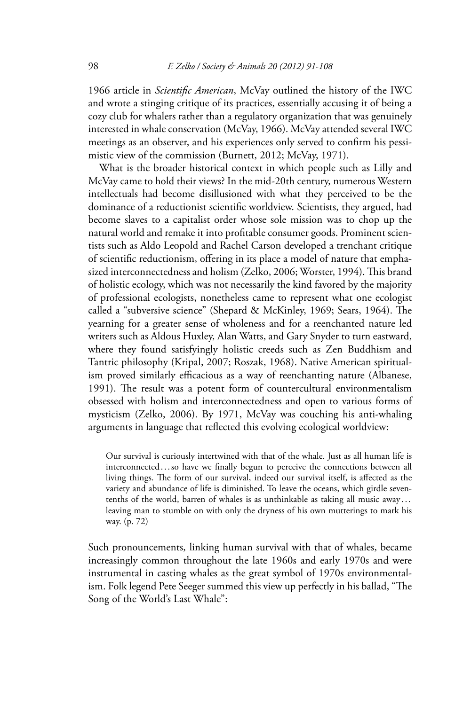1966 article in *Scientific American*, McVay outlined the history of the IWC and wrote a stinging critique of its practices, essentially accusing it of being a cozy club for whalers rather than a regulatory organization that was genuinely interested in whale conservation (McVay, 1966). McVay attended several IWC meetings as an observer, and his experiences only served to confirm his pessimistic view of the commission (Burnett, 2012; McVay, 1971).

What is the broader historical context in which people such as Lilly and McVay came to hold their views? In the mid-20th century, numerous Western intellectuals had become disillusioned with what they perceived to be the dominance of a reductionist scientific worldview. Scientists, they argued, had become slaves to a capitalist order whose sole mission was to chop up the natural world and remake it into profitable consumer goods. Prominent scientists such as Aldo Leopold and Rachel Carson developed a trenchant critique of scientific reductionism, offering in its place a model of nature that emphasized interconnectedness and holism (Zelko, 2006; Worster, 1994). This brand of holistic ecology, which was not necessarily the kind favored by the majority of professional ecologists, nonetheless came to represent what one ecologist called a "subversive science" (Shepard & McKinley, 1969; Sears, 1964). The yearning for a greater sense of wholeness and for a reenchanted nature led writers such as Aldous Huxley, Alan Watts, and Gary Snyder to turn eastward, where they found satisfyingly holistic creeds such as Zen Buddhism and Tantric philosophy (Kripal, 2007; Roszak, 1968). Native American spiritualism proved similarly efficacious as a way of reenchanting nature (Albanese, 1991). The result was a potent form of countercultural environmentalism obsessed with holism and interconnectedness and open to various forms of mysticism (Zelko, 2006). By 1971, McVay was couching his anti-whaling arguments in language that reflected this evolving ecological worldview:

Our survival is curiously intertwined with that of the whale. Just as all human life is interconnected . . . so have we finally begun to perceive the connections between all living things. The form of our survival, indeed our survival itself, is affected as the variety and abundance of life is diminished. To leave the oceans, which girdle seventenths of the world, barren of whales is as unthinkable as taking all music away . . . leaving man to stumble on with only the dryness of his own mutterings to mark his way. (p. 72)

Such pronouncements, linking human survival with that of whales, became increasingly common throughout the late 1960s and early 1970s and were instrumental in casting whales as the great symbol of 1970s environmentalism. Folk legend Pete Seeger summed this view up perfectly in his ballad, "The Song of the World's Last Whale":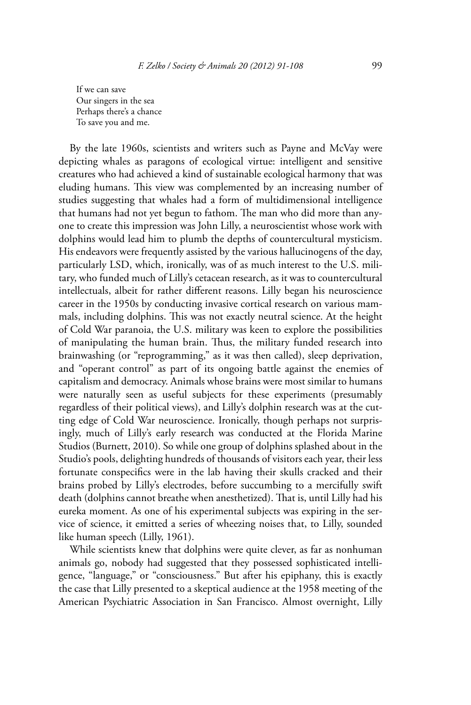If we can save Our singers in the sea Perhaps there's a chance To save you and me.

By the late 1960s, scientists and writers such as Payne and McVay were depicting whales as paragons of ecological virtue: intelligent and sensitive creatures who had achieved a kind of sustainable ecological harmony that was eluding humans. This view was complemented by an increasing number of studies suggesting that whales had a form of multidimensional intelligence that humans had not yet begun to fathom. The man who did more than anyone to create this impression was John Lilly, a neuroscientist whose work with dolphins would lead him to plumb the depths of countercultural mysticism. His endeavors were frequently assisted by the various hallucinogens of the day, particularly LSD, which, ironically, was of as much interest to the U.S. military, who funded much of Lilly's cetacean research, as it was to countercultural intellectuals, albeit for rather different reasons. Lilly began his neuroscience career in the 1950s by conducting invasive cortical research on various mammals, including dolphins. This was not exactly neutral science. At the height of Cold War paranoia, the U.S. military was keen to explore the possibilities of manipulating the human brain. Thus, the military funded research into brainwashing (or "reprogramming," as it was then called), sleep deprivation, and "operant control" as part of its ongoing battle against the enemies of capitalism and democracy. Animals whose brains were most similar to humans were naturally seen as useful subjects for these experiments (presumably regardless of their political views), and Lilly's dolphin research was at the cutting edge of Cold War neuroscience. Ironically, though perhaps not surprisingly, much of Lilly's early research was conducted at the Florida Marine Studios (Burnett, 2010). So while one group of dolphins splashed about in the Studio's pools, delighting hundreds of thousands of visitors each year, their less fortunate conspecifics were in the lab having their skulls cracked and their brains probed by Lilly's electrodes, before succumbing to a mercifully swift death (dolphins cannot breathe when anesthetized). That is, until Lilly had his eureka moment. As one of his experimental subjects was expiring in the service of science, it emitted a series of wheezing noises that, to Lilly, sounded like human speech (Lilly, 1961).

While scientists knew that dolphins were quite clever, as far as nonhuman animals go, nobody had suggested that they possessed sophisticated intelligence, "language," or "consciousness." But after his epiphany, this is exactly the case that Lilly presented to a skeptical audience at the 1958 meeting of the American Psychiatric Association in San Francisco. Almost overnight, Lilly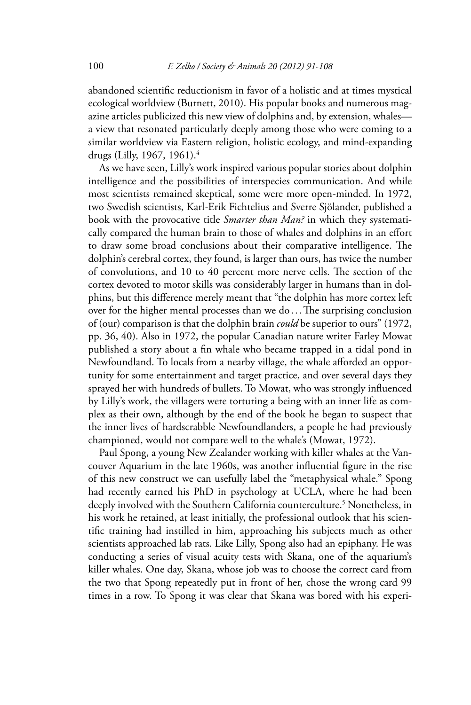abandoned scientific reductionism in favor of a holistic and at times mystical ecological worldview (Burnett, 2010). His popular books and numerous magazine articles publicized this new view of dolphins and, by extension, whales a view that resonated particularly deeply among those who were coming to a similar worldview via Eastern religion, holistic ecology, and mind-expanding drugs (Lilly, 1967, 1961).4

As we have seen, Lilly's work inspired various popular stories about dolphin intelligence and the possibilities of interspecies communication. And while most scientists remained skeptical, some were more open-minded. In 1972, two Swedish scientists, Karl-Erik Fichtelius and Sverre Sjölander, published a book with the provocative title *Smarter than Man?* in which they systematically compared the human brain to those of whales and dolphins in an effort to draw some broad conclusions about their comparative intelligence. The dolphin's cerebral cortex, they found, is larger than ours, has twice the number of convolutions, and 10 to 40 percent more nerve cells. The section of the cortex devoted to motor skills was considerably larger in humans than in dolphins, but this difference merely meant that "the dolphin has more cortex left over for the higher mental processes than we do . . . The surprising conclusion of (our) comparison is that the dolphin brain *could* be superior to ours" (1972, pp. 36, 40). Also in 1972, the popular Canadian nature writer Farley Mowat published a story about a fin whale who became trapped in a tidal pond in Newfoundland. To locals from a nearby village, the whale afforded an opportunity for some entertainment and target practice, and over several days they sprayed her with hundreds of bullets. To Mowat, who was strongly influenced by Lilly's work, the villagers were torturing a being with an inner life as complex as their own, although by the end of the book he began to suspect that the inner lives of hardscrabble Newfoundlanders, a people he had previously championed, would not compare well to the whale's (Mowat, 1972).

Paul Spong, a young New Zealander working with killer whales at the Vancouver Aquarium in the late 1960s, was another influential figure in the rise of this new construct we can usefully label the "metaphysical whale." Spong had recently earned his PhD in psychology at UCLA, where he had been deeply involved with the Southern California counterculture.5 Nonetheless, in his work he retained, at least initially, the professional outlook that his scientific training had instilled in him, approaching his subjects much as other scientists approached lab rats. Like Lilly, Spong also had an epiphany. He was conducting a series of visual acuity tests with Skana, one of the aquarium's killer whales. One day, Skana, whose job was to choose the correct card from the two that Spong repeatedly put in front of her, chose the wrong card 99 times in a row. To Spong it was clear that Skana was bored with his experi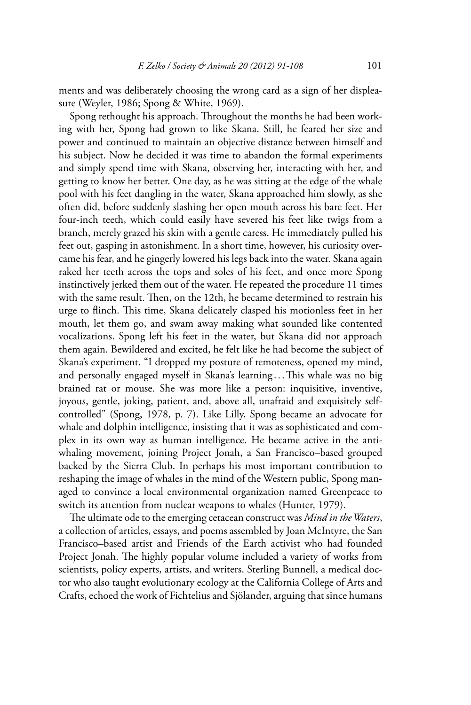ments and was deliberately choosing the wrong card as a sign of her displeasure (Weyler, 1986; Spong & White, 1969).

Spong rethought his approach. Throughout the months he had been working with her, Spong had grown to like Skana. Still, he feared her size and power and continued to maintain an objective distance between himself and his subject. Now he decided it was time to abandon the formal experiments and simply spend time with Skana, observing her, interacting with her, and getting to know her better. One day, as he was sitting at the edge of the whale pool with his feet dangling in the water, Skana approached him slowly, as she often did, before suddenly slashing her open mouth across his bare feet. Her four-inch teeth, which could easily have severed his feet like twigs from a branch, merely grazed his skin with a gentle caress. He immediately pulled his feet out, gasping in astonishment. In a short time, however, his curiosity overcame his fear, and he gingerly lowered his legs back into the water. Skana again raked her teeth across the tops and soles of his feet, and once more Spong instinctively jerked them out of the water. He repeated the procedure 11 times with the same result. Then, on the 12th, he became determined to restrain his urge to flinch. This time, Skana delicately clasped his motionless feet in her mouth, let them go, and swam away making what sounded like contented vocalizations. Spong left his feet in the water, but Skana did not approach them again. Bewildered and excited, he felt like he had become the subject of Skana's experiment. "I dropped my posture of remoteness, opened my mind, and personally engaged myself in Skana's learning ... This whale was no big brained rat or mouse. She was more like a person: inquisitive, inventive, joyous, gentle, joking, patient, and, above all, unafraid and exquisitely selfcontrolled" (Spong, 1978, p. 7). Like Lilly, Spong became an advocate for whale and dolphin intelligence, insisting that it was as sophisticated and complex in its own way as human intelligence. He became active in the antiwhaling movement, joining Project Jonah, a San Francisco–based grouped backed by the Sierra Club. In perhaps his most important contribution to reshaping the image of whales in the mind of the Western public, Spong managed to convince a local environmental organization named Greenpeace to switch its attention from nuclear weapons to whales (Hunter, 1979).

The ultimate ode to the emerging cetacean construct was *Mind in the Waters*, a collection of articles, essays, and poems assembled by Joan McIntyre, the San Francisco–based artist and Friends of the Earth activist who had founded Project Jonah. The highly popular volume included a variety of works from scientists, policy experts, artists, and writers. Sterling Bunnell, a medical doctor who also taught evolutionary ecology at the California College of Arts and Crafts, echoed the work of Fichtelius and Sjölander, arguing that since humans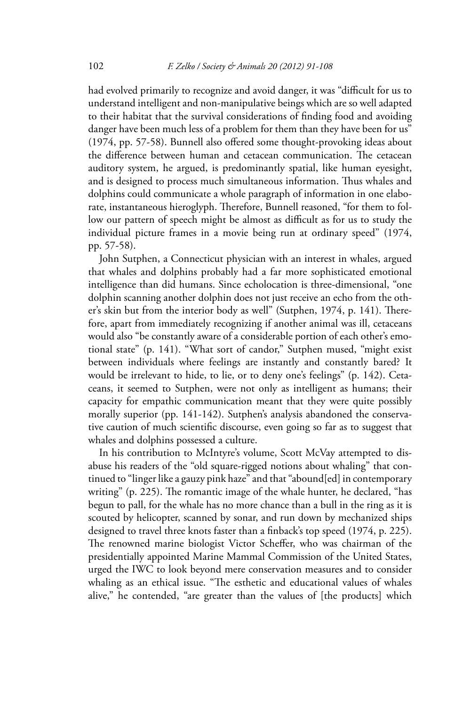had evolved primarily to recognize and avoid danger, it was "difficult for us to understand intelligent and non-manipulative beings which are so well adapted to their habitat that the survival considerations of finding food and avoiding danger have been much less of a problem for them than they have been for us" (1974, pp. 57-58). Bunnell also offered some thought-provoking ideas about the difference between human and cetacean communication. The cetacean auditory system, he argued, is predominantly spatial, like human eyesight, and is designed to process much simultaneous information. Thus whales and dolphins could communicate a whole paragraph of information in one elaborate, instantaneous hieroglyph. Therefore, Bunnell reasoned, "for them to follow our pattern of speech might be almost as difficult as for us to study the individual picture frames in a movie being run at ordinary speed" (1974, pp. 57-58).

John Sutphen, a Connecticut physician with an interest in whales, argued that whales and dolphins probably had a far more sophisticated emotional intelligence than did humans. Since echolocation is three-dimensional, "one dolphin scanning another dolphin does not just receive an echo from the other's skin but from the interior body as well" (Sutphen, 1974, p. 141). Therefore, apart from immediately recognizing if another animal was ill, cetaceans would also "be constantly aware of a considerable portion of each other's emotional state" (p. 141). "What sort of candor," Sutphen mused, "might exist between individuals where feelings are instantly and constantly bared? It would be irrelevant to hide, to lie, or to deny one's feelings" (p. 142). Cetaceans, it seemed to Sutphen, were not only as intelligent as humans; their capacity for empathic communication meant that they were quite possibly morally superior (pp. 141-142). Sutphen's analysis abandoned the conservative caution of much scientific discourse, even going so far as to suggest that whales and dolphins possessed a culture.

In his contribution to McIntyre's volume, Scott McVay attempted to disabuse his readers of the "old square-rigged notions about whaling" that continued to "linger like a gauzy pink haze" and that "abound[ed] in contemporary writing" (p. 225). The romantic image of the whale hunter, he declared, "has begun to pall, for the whale has no more chance than a bull in the ring as it is scouted by helicopter, scanned by sonar, and run down by mechanized ships designed to travel three knots faster than a finback's top speed (1974, p. 225). The renowned marine biologist Victor Scheffer, who was chairman of the presidentially appointed Marine Mammal Commission of the United States, urged the IWC to look beyond mere conservation measures and to consider whaling as an ethical issue. "The esthetic and educational values of whales alive," he contended, "are greater than the values of [the products] which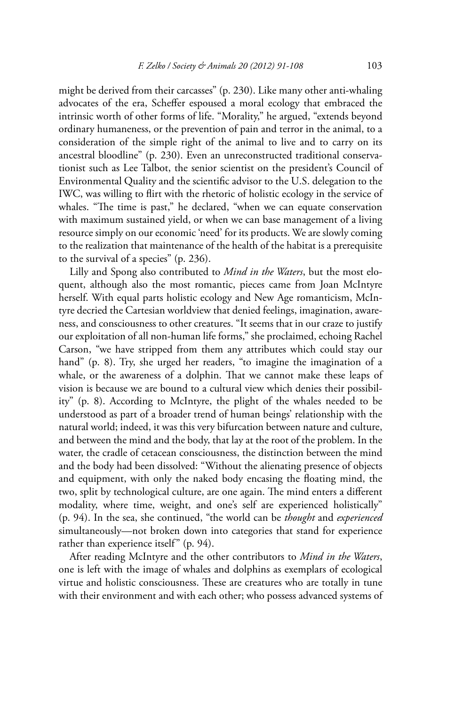might be derived from their carcasses" (p. 230). Like many other anti-whaling advocates of the era, Scheffer espoused a moral ecology that embraced the intrinsic worth of other forms of life. "Morality," he argued, "extends beyond ordinary humaneness, or the prevention of pain and terror in the animal, to a consideration of the simple right of the animal to live and to carry on its ancestral bloodline" (p. 230). Even an unreconstructed traditional conservationist such as Lee Talbot, the senior scientist on the president's Council of Environmental Quality and the scientific advisor to the U.S. delegation to the IWC, was willing to flirt with the rhetoric of holistic ecology in the service of whales. "The time is past," he declared, "when we can equate conservation with maximum sustained yield, or when we can base management of a living resource simply on our economic 'need' for its products. We are slowly coming to the realization that maintenance of the health of the habitat is a prerequisite to the survival of a species" (p. 236).

Lilly and Spong also contributed to *Mind in the Waters*, but the most eloquent, although also the most romantic, pieces came from Joan McIntyre herself. With equal parts holistic ecology and New Age romanticism, McIntyre decried the Cartesian worldview that denied feelings, imagination, awareness, and consciousness to other creatures. "It seems that in our craze to justify our exploitation of all non-human life forms," she proclaimed, echoing Rachel Carson, "we have stripped from them any attributes which could stay our hand" (p. 8). Try, she urged her readers, "to imagine the imagination of a whale, or the awareness of a dolphin. That we cannot make these leaps of vision is because we are bound to a cultural view which denies their possibility" (p. 8). According to McIntyre, the plight of the whales needed to be understood as part of a broader trend of human beings' relationship with the natural world; indeed, it was this very bifurcation between nature and culture, and between the mind and the body, that lay at the root of the problem. In the water, the cradle of cetacean consciousness, the distinction between the mind and the body had been dissolved: "Without the alienating presence of objects and equipment, with only the naked body encasing the floating mind, the two, split by technological culture, are one again. The mind enters a different modality, where time, weight, and one's self are experienced holistically" (p. 94). In the sea, she continued, "the world can be *thought* and *experienced* simultaneously—not broken down into categories that stand for experience rather than experience itself" (p. 94).

After reading McIntyre and the other contributors to *Mind in the Waters*, one is left with the image of whales and dolphins as exemplars of ecological virtue and holistic consciousness. These are creatures who are totally in tune with their environment and with each other; who possess advanced systems of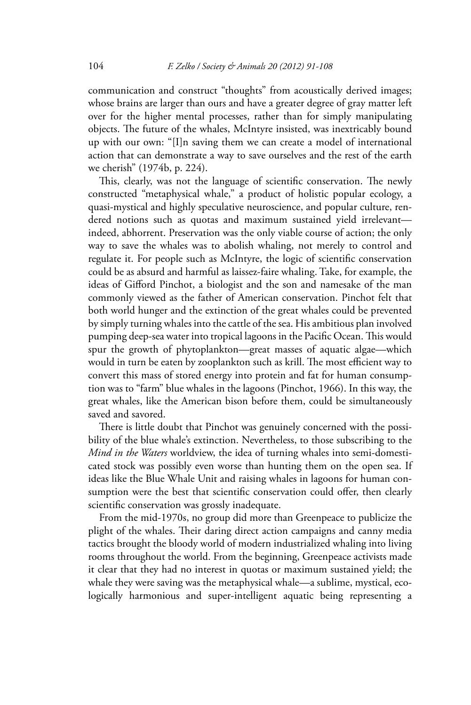communication and construct "thoughts" from acoustically derived images; whose brains are larger than ours and have a greater degree of gray matter left over for the higher mental processes, rather than for simply manipulating objects. The future of the whales, McIntyre insisted, was inextricably bound up with our own: "[I]n saving them we can create a model of international action that can demonstrate a way to save ourselves and the rest of the earth we cherish" (1974b, p. 224).

This, clearly, was not the language of scientific conservation. The newly constructed "metaphysical whale," a product of holistic popular ecology, a quasi-mystical and highly speculative neuroscience, and popular culture, rendered notions such as quotas and maximum sustained yield irrelevant indeed, abhorrent. Preservation was the only viable course of action; the only way to save the whales was to abolish whaling, not merely to control and regulate it. For people such as McIntyre, the logic of scientific conservation could be as absurd and harmful as laissez-faire whaling. Take, for example, the ideas of Gifford Pinchot, a biologist and the son and namesake of the man commonly viewed as the father of American conservation. Pinchot felt that both world hunger and the extinction of the great whales could be prevented by simply turning whales into the cattle of the sea. His ambitious plan involved pumping deep-sea water into tropical lagoons in the Pacific Ocean. This would spur the growth of phytoplankton—great masses of aquatic algae—which would in turn be eaten by zooplankton such as krill. The most efficient way to convert this mass of stored energy into protein and fat for human consumption was to "farm" blue whales in the lagoons (Pinchot, 1966). In this way, the great whales, like the American bison before them, could be simultaneously saved and savored.

There is little doubt that Pinchot was genuinely concerned with the possibility of the blue whale's extinction. Nevertheless, to those subscribing to the *Mind in the Waters* worldview, the idea of turning whales into semi-domesticated stock was possibly even worse than hunting them on the open sea. If ideas like the Blue Whale Unit and raising whales in lagoons for human consumption were the best that scientific conservation could offer, then clearly scientific conservation was grossly inadequate.

From the mid-1970s, no group did more than Greenpeace to publicize the plight of the whales. Their daring direct action campaigns and canny media tactics brought the bloody world of modern industrialized whaling into living rooms throughout the world. From the beginning, Greenpeace activists made it clear that they had no interest in quotas or maximum sustained yield; the whale they were saving was the metaphysical whale—a sublime, mystical, ecologically harmonious and super-intelligent aquatic being representing a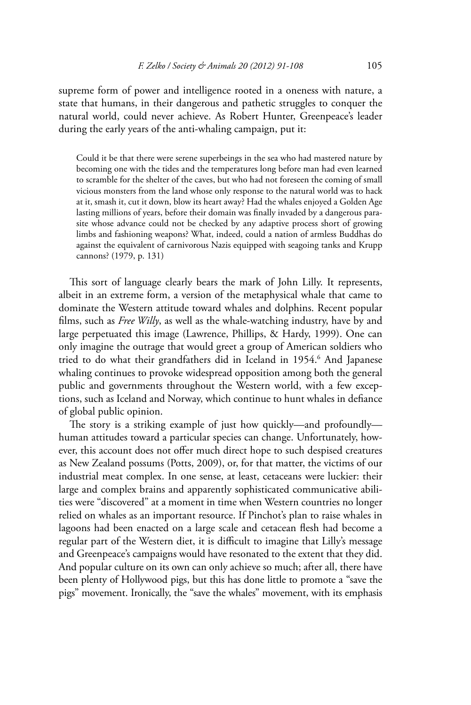supreme form of power and intelligence rooted in a oneness with nature, a state that humans, in their dangerous and pathetic struggles to conquer the natural world, could never achieve. As Robert Hunter, Greenpeace's leader during the early years of the anti-whaling campaign, put it:

Could it be that there were serene superbeings in the sea who had mastered nature by becoming one with the tides and the temperatures long before man had even learned to scramble for the shelter of the caves, but who had not foreseen the coming of small vicious monsters from the land whose only response to the natural world was to hack at it, smash it, cut it down, blow its heart away? Had the whales enjoyed a Golden Age lasting millions of years, before their domain was finally invaded by a dangerous parasite whose advance could not be checked by any adaptive process short of growing limbs and fashioning weapons? What, indeed, could a nation of armless Buddhas do against the equivalent of carnivorous Nazis equipped with seagoing tanks and Krupp cannons? (1979, p. 131)

This sort of language clearly bears the mark of John Lilly. It represents, albeit in an extreme form, a version of the metaphysical whale that came to dominate the Western attitude toward whales and dolphins. Recent popular films, such as *Free Willy*, as well as the whale-watching industry, have by and large perpetuated this image (Lawrence, Phillips, & Hardy, 1999). One can only imagine the outrage that would greet a group of American soldiers who tried to do what their grandfathers did in Iceland in 1954.<sup>6</sup> And Japanese whaling continues to provoke widespread opposition among both the general public and governments throughout the Western world, with a few exceptions, such as Iceland and Norway, which continue to hunt whales in defiance of global public opinion.

The story is a striking example of just how quickly—and profoundly human attitudes toward a particular species can change. Unfortunately, however, this account does not offer much direct hope to such despised creatures as New Zealand possums (Potts, 2009), or, for that matter, the victims of our industrial meat complex. In one sense, at least, cetaceans were luckier: their large and complex brains and apparently sophisticated communicative abilities were "discovered" at a moment in time when Western countries no longer relied on whales as an important resource. If Pinchot's plan to raise whales in lagoons had been enacted on a large scale and cetacean flesh had become a regular part of the Western diet, it is difficult to imagine that Lilly's message and Greenpeace's campaigns would have resonated to the extent that they did. And popular culture on its own can only achieve so much; after all, there have been plenty of Hollywood pigs, but this has done little to promote a "save the pigs" movement. Ironically, the "save the whales" movement, with its emphasis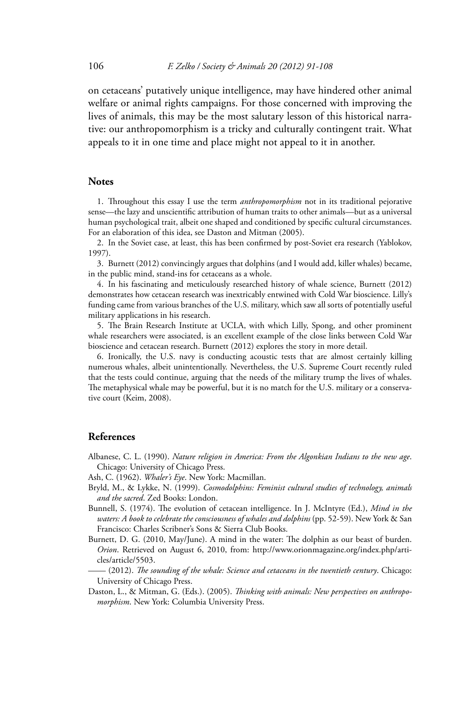on cetaceans' putatively unique intelligence, may have hindered other animal welfare or animal rights campaigns. For those concerned with improving the lives of animals, this may be the most salutary lesson of this historical narrative: our anthropomorphism is a tricky and culturally contingent trait. What appeals to it in one time and place might not appeal to it in another.

## **Notes**

1. Throughout this essay I use the term *anthropomorphism* not in its traditional pejorative sense—the lazy and unscientific attribution of human traits to other animals—but as a universal human psychological trait, albeit one shaped and conditioned by specific cultural circumstances. For an elaboration of this idea, see Daston and Mitman (2005).

2. In the Soviet case, at least, this has been confirmed by post-Soviet era research (Yablokov, 1997).

3. Burnett (2012) convincingly argues that dolphins (and I would add, killer whales) became, in the public mind, stand-ins for cetaceans as a whole.

4. In his fascinating and meticulously researched history of whale science, Burnett (2012) demonstrates how cetacean research was inextricably entwined with Cold War bioscience. Lilly's funding came from various branches of the U.S. military, which saw all sorts of potentially useful military applications in his research.

5. The Brain Research Institute at UCLA, with which Lilly, Spong, and other prominent whale researchers were associated, is an excellent example of the close links between Cold War bioscience and cetacean research. Burnett (2012) explores the story in more detail.

6. Ironically, the U.S. navy is conducting acoustic tests that are almost certainly killing numerous whales, albeit unintentionally. Nevertheless, the U.S. Supreme Court recently ruled that the tests could continue, arguing that the needs of the military trump the lives of whales. The metaphysical whale may be powerful, but it is no match for the U.S. military or a conservative court (Keim, 2008).

### **References**

Albanese, C. L. (1990). *Nature religion in America: From the Algonkian Indians to the new age*. Chicago: University of Chicago Press.

Ash, C. (1962). *Whaler's Eye*. New York: Macmillan.

- Bryld, M., & Lykke, N. (1999). *Cosmodolphins: Feminist cultural studies of technology, animals and the sacred*. Zed Books: London.
- Bunnell, S. (1974). The evolution of cetacean intelligence. In J. McIntyre (Ed.), *Mind in the waters: A book to celebrate the consciousness of whales and dolphins* (pp. 52-59). New York & San Francisco: Charles Scribner's Sons & Sierra Club Books.
- Burnett, D. G. (2010, May/June). A mind in the water: The dolphin as our beast of burden. *Orion*. Retrieved on August 6, 2010, from: http://www.orionmagazine.org/index.php/articles/article/5503.
	- —— (2012). *The sounding of the whale: Science and cetaceans in the twentieth century*. Chicago: University of Chicago Press.
- Daston, L., & Mitman, G. (Eds.). (2005). *Thinking with animals: New perspectives on anthropomorphism*. New York: Columbia University Press.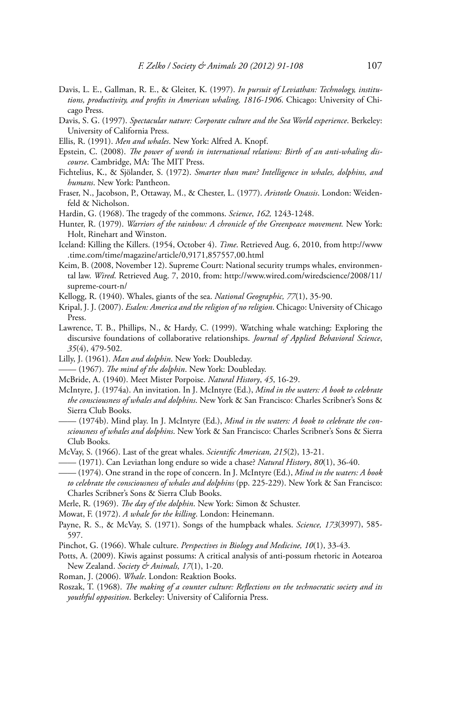- Davis, L. E., Gallman, R. E., & Gleiter, K. (1997). *In pursuit of Leviathan: Technology, institutions, productivity, and profits in American whaling, 1816-1906*. Chicago: University of Chicago Press.
- Davis, S. G. (1997). *Spectacular nature: Corporate culture and the Sea World experience*. Berkeley: University of California Press.
- Ellis, R. (1991). *Men and whales*. New York: Alfred A. Knopf.
- Epstein, C. (2008). *The power of words in international relations: Birth of an anti-whaling discourse*. Cambridge, MA: The MIT Press.
- Fichtelius, K., & Sjölander, S. (1972). *Smarter than man? Intelligence in whales, dolphins, and humans*. New York: Pantheon.
- Fraser, N., Jacobson, P., Ottaway, M., & Chester, L. (1977). *Aristotle Onassis*. London: Weidenfeld & Nicholson.

Hardin, G. (1968). The tragedy of the commons. *Science*, *162,* 1243-1248.

- Hunter, R. (1979). *Warriors of the rainbow: A chronicle of the Greenpeace movement.* New York: Holt, Rinehart and Winston.
- Iceland: Killing the Killers. (1954, October 4). *Time*. Retrieved Aug. 6, 2010, from http://www .time.com/time/magazine/article/0,9171,857557,00.html
- Keim, B. (2008, November 12). Supreme Court: National security trumps whales, environmental law. *Wired*. Retrieved Aug. 7, 2010, from: http://www.wired.com/wiredscience/2008/11/ supreme-court-n/
- Kellogg, R. (1940). Whales, giants of the sea. *National Geographic, 77*(1), 35-90.
- Kripal, J. J. (2007). *Esalen: America and the religion of no religion*. Chicago: University of Chicago Press.
- Lawrence, T. B., Phillips, N., & Hardy, C. (1999). Watching whale watching: Exploring the discursive foundations of collaborative relationships. *Journal of Applied Behavioral Science*, *35*(4), 479-502.
- Lilly, J. (1961). *Man and dolphin*. New York: Doubleday.
- —— (1967). *The mind of the dolphin*. New York: Doubleday.
- McBride, A. (1940). Meet Mister Porpoise. *Natural History*, *45*, 16-29.

McIntyre, J. (1974a). An invitation. In J. McIntyre (Ed.), *Mind in the waters: A book to celebrate the consciousness of whales and dolphins*. New York & San Francisco: Charles Scribner's Sons & Sierra Club Books.

- (1974b). Mind play. In J. McIntyre (Ed.), *Mind in the waters: A book to celebrate the consciousness of whales and dolphins*. New York & San Francisco: Charles Scribner's Sons & Sierra Club Books.

McVay, S. (1966). Last of the great whales. *Scientific American, 215*(2), 13-21.

—— (1971). Can Leviathan long endure so wide a chase? *Natural History*, *80*(1), 36-40.

—— (1974). One strand in the rope of concern. In J. McIntyre (Ed.), *Mind in the waters: A book to celebrate the consciousness of whales and dolphins* (pp. 225-229). New York & San Francisco: Charles Scribner's Sons & Sierra Club Books.

Merle, R. (1969). *The day of the dolphin*. New York: Simon & Schuster.

Mowat, F. (1972). *A whale for the killing*. London: Heinemann.

Payne, R. S., & McVay, S. (1971). Songs of the humpback whales. *Science, 173*(3997), 585- 597.

- Pinchot, G. (1966). Whale culture. *Perspectives in Biology and Medicine, 10*(1), 33-43.
- Potts, A. (2009). Kiwis against possums: A critical analysis of anti-possum rhetoric in Aotearoa New Zealand. *Society & Animals, 17*(1), 1-20.

Roman, J. (2006). *Whale*. London: Reaktion Books.

Roszak, T. (1968). *The making of a counter culture: Reflections on the technocratic society and its youthful opposition*. Berkeley: University of California Press.